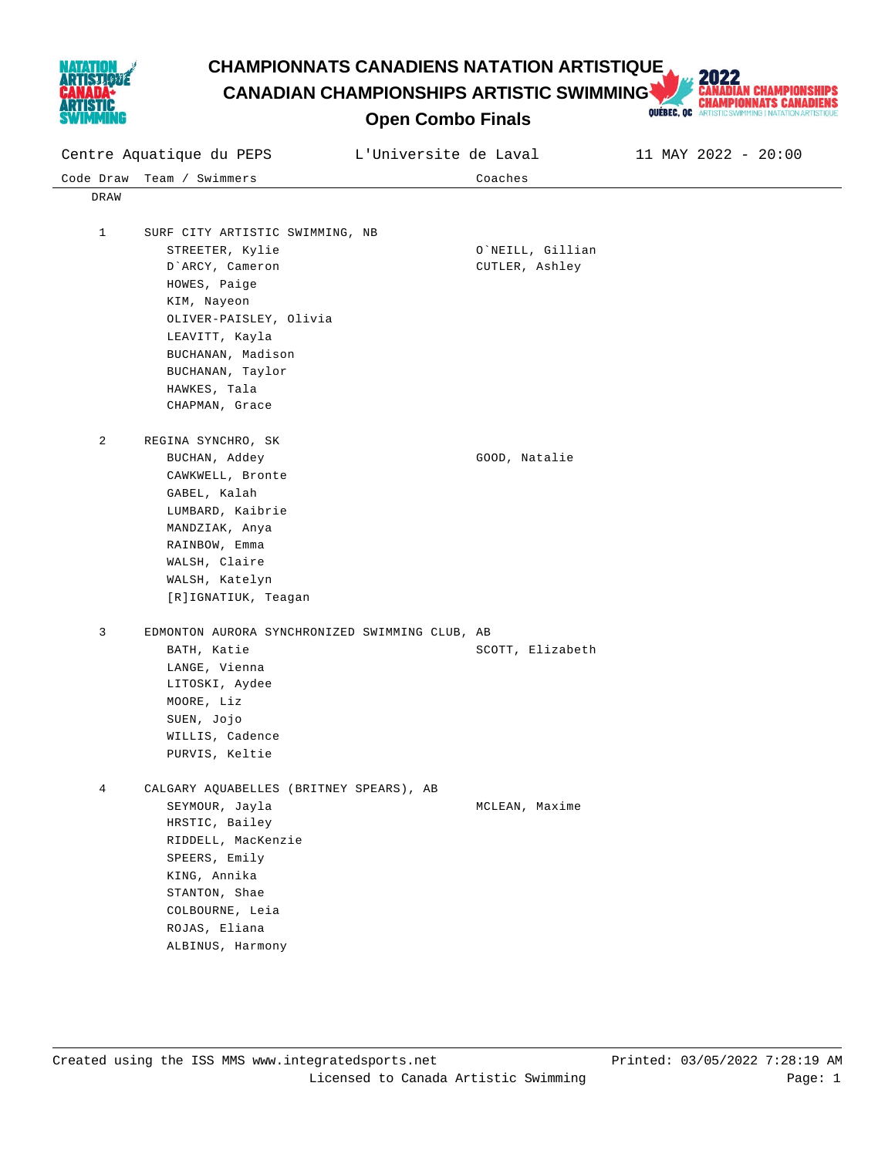

**CHAMPIONNATS CANADIENS NATATION ARTISTIQUE<br>CANADIAN CHAMPIONSHIPS ARTISTIC SWIMMING AND CHAMPIONSHIPS CANADIENS<br>Open Combo Finals CANADIAN CHAMPIONSHIPS ARTISTIC SWIMMING** 



**Open Combo Finals**

| Centre Aquatique du PEPS |                                                | L'Universite de Laval |                  | 11 MAY 2022 - 20:00 |
|--------------------------|------------------------------------------------|-----------------------|------------------|---------------------|
| Code Draw                | Team / Swimmers                                |                       | Coaches          |                     |
| DRAW                     |                                                |                       |                  |                     |
|                          |                                                |                       |                  |                     |
| $\mathbf{1}$             | SURF CITY ARTISTIC SWIMMING, NB                |                       |                  |                     |
|                          | STREETER, Kylie                                |                       | O`NEILL, Gillian |                     |
|                          | D'ARCY, Cameron                                |                       | CUTLER, Ashley   |                     |
|                          | HOWES, Paige                                   |                       |                  |                     |
|                          | KIM, Nayeon                                    |                       |                  |                     |
|                          | OLIVER-PAISLEY, Olivia                         |                       |                  |                     |
|                          | LEAVITT, Kayla                                 |                       |                  |                     |
|                          | BUCHANAN, Madison                              |                       |                  |                     |
|                          | BUCHANAN, Taylor                               |                       |                  |                     |
|                          | HAWKES, Tala                                   |                       |                  |                     |
|                          | CHAPMAN, Grace                                 |                       |                  |                     |
| 2                        | REGINA SYNCHRO, SK                             |                       |                  |                     |
|                          | BUCHAN, Addey                                  |                       | GOOD, Natalie    |                     |
|                          | CAWKWELL, Bronte                               |                       |                  |                     |
|                          | GABEL, Kalah                                   |                       |                  |                     |
|                          | LUMBARD, Kaibrie                               |                       |                  |                     |
|                          | MANDZIAK, Anya                                 |                       |                  |                     |
|                          | RAINBOW, Emma                                  |                       |                  |                     |
|                          | WALSH, Claire                                  |                       |                  |                     |
|                          | WALSH, Katelyn                                 |                       |                  |                     |
|                          | [R]IGNATIUK, Teagan                            |                       |                  |                     |
|                          |                                                |                       |                  |                     |
| 3                        | EDMONTON AURORA SYNCHRONIZED SWIMMING CLUB, AB |                       |                  |                     |
|                          | BATH, Katie                                    |                       | SCOTT, Elizabeth |                     |
|                          | LANGE, Vienna                                  |                       |                  |                     |
|                          | LITOSKI, Aydee                                 |                       |                  |                     |
|                          | MOORE, Liz                                     |                       |                  |                     |
|                          | SUEN, Jojo                                     |                       |                  |                     |
|                          | WILLIS, Cadence                                |                       |                  |                     |
|                          | PURVIS, Keltie                                 |                       |                  |                     |
| 4                        | CALGARY AQUABELLES (BRITNEY SPEARS), AB        |                       |                  |                     |
|                          | SEYMOUR, Jayla                                 |                       | MCLEAN, Maxime   |                     |
|                          | HRSTIC, Bailey                                 |                       |                  |                     |
|                          | RIDDELL, MacKenzie                             |                       |                  |                     |
|                          | SPEERS, Emily                                  |                       |                  |                     |
|                          | KING, Annika                                   |                       |                  |                     |
|                          | STANTON, Shae                                  |                       |                  |                     |
|                          | COLBOURNE, Leia                                |                       |                  |                     |
|                          | ROJAS, Eliana                                  |                       |                  |                     |
|                          | ALBINUS, Harmony                               |                       |                  |                     |
|                          |                                                |                       |                  |                     |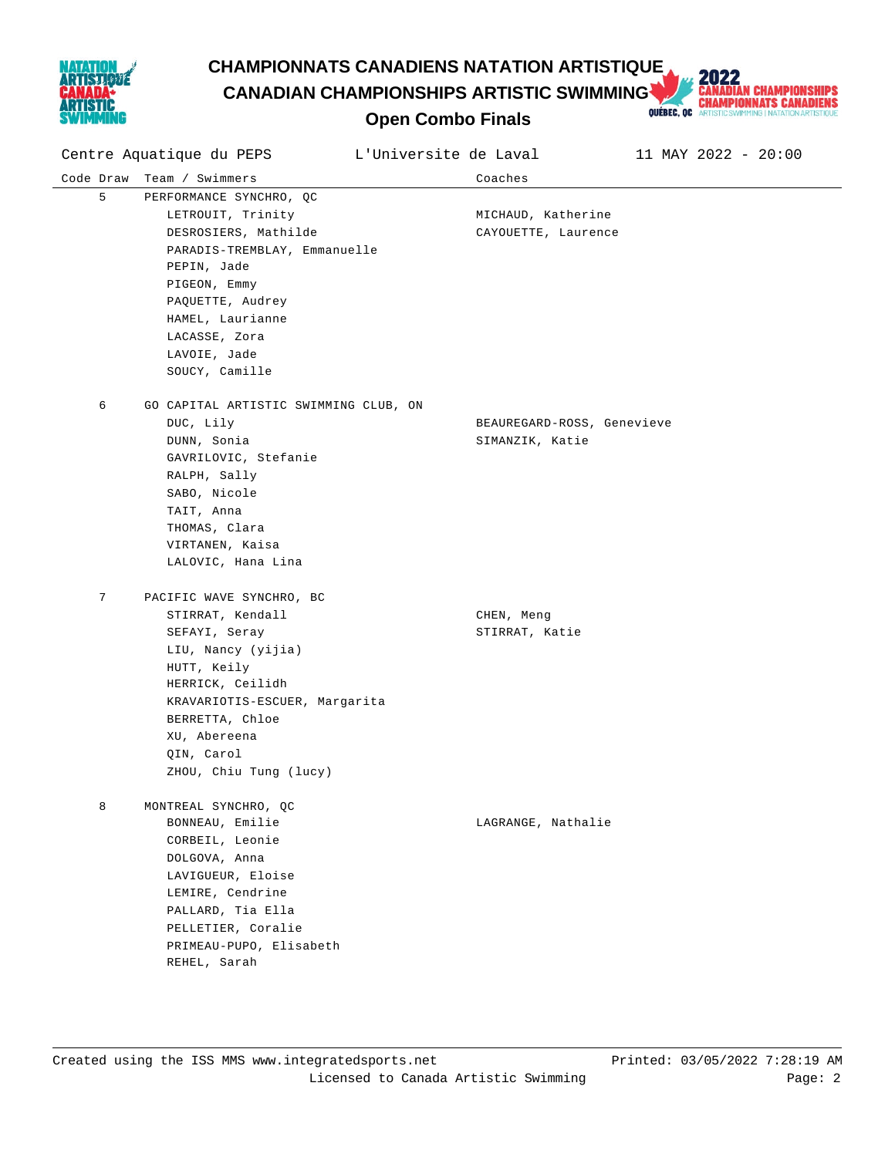

**CHAMPIONNATS CANADIENS NATATION ARTISTIQUE<br>CANADIAN CHAMPIONSHIPS ARTISTIC SWIMMING AND CHAMPIONSHIPS CANADIENS<br>Open Combo Finals CANADIAN CHAMPIONSHIPS ARTISTIC SWIMMING** 



**Open Combo Finals**

| Centre Aquatique du PEPS |                                                                                                                                                                                                                                    | L'Universite de Laval |                                               | 11 MAY 2022 - 20:00 |
|--------------------------|------------------------------------------------------------------------------------------------------------------------------------------------------------------------------------------------------------------------------------|-----------------------|-----------------------------------------------|---------------------|
| Code Draw                | Team / Swimmers                                                                                                                                                                                                                    |                       | Coaches                                       |                     |
| 5                        | PERFORMANCE SYNCHRO, QC<br>LETROUIT, Trinity<br>DESROSIERS, Mathilde<br>PARADIS-TREMBLAY, Emmanuelle<br>PEPIN, Jade<br>PIGEON, Emmy<br>PAQUETTE, Audrey<br>HAMEL, Laurianne<br>LACASSE, Zora<br>LAVOIE, Jade<br>SOUCY, Camille     |                       | MICHAUD, Katherine<br>CAYOUETTE, Laurence     |                     |
| 6                        | GO CAPITAL ARTISTIC SWIMMING CLUB, ON<br>DUC, Lily<br>DUNN, Sonia<br>GAVRILOVIC, Stefanie<br>RALPH, Sally<br>SABO, Nicole<br>TAIT, Anna<br>THOMAS, Clara<br>VIRTANEN, Kaisa<br>LALOVIC, Hana Lina                                  |                       | BEAUREGARD-ROSS, Genevieve<br>SIMANZIK, Katie |                     |
| 7                        | PACIFIC WAVE SYNCHRO, BC<br>STIRRAT, Kendall<br>SEFAYI, Seray<br>LIU, Nancy (yijia)<br>HUTT, Keily<br>HERRICK, Ceilidh<br>KRAVARIOTIS-ESCUER, Margarita<br>BERRETTA, Chloe<br>XU, Abereena<br>QIN, Carol<br>ZHOU, Chiu Tung (lucy) |                       | CHEN, Meng<br>STIRRAT, Katie                  |                     |
| 8                        | MONTREAL SYNCHRO, QC<br>BONNEAU, Emilie<br>CORBEIL, Leonie<br>DOLGOVA, Anna<br>LAVIGUEUR, Eloise<br>LEMIRE, Cendrine<br>PALLARD, Tia Ella<br>PELLETIER, Coralie<br>PRIMEAU-PUPO, Elisabeth<br>REHEL, Sarah                         |                       | LAGRANGE, Nathalie                            |                     |